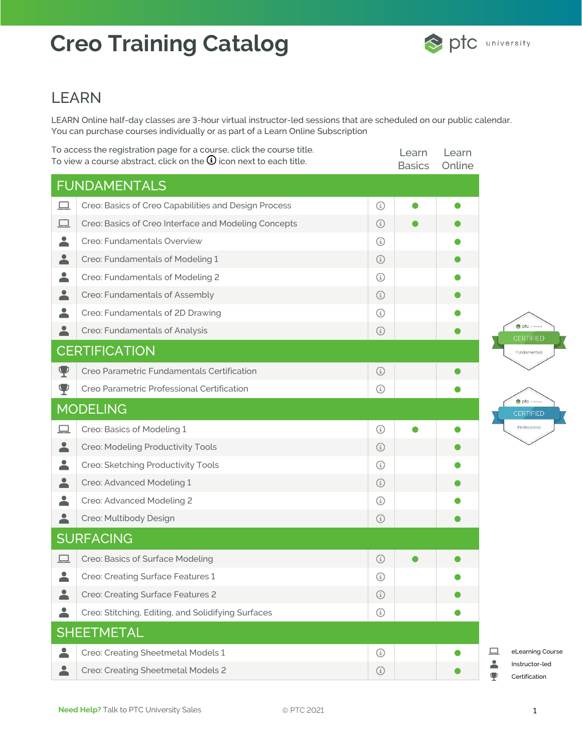

#### LEARN

LEARN Online half-day classes are 3-hour virtual instructor-led sessions that are scheduled on our public calendar. You can purchase courses individually or as part of a Learn Online Subscription

|                          | To access the registration page for a course, click the course title.<br>To view a course abstract, click on the $\mathbf{\Omega}$ icon next to each title. |            | Learn<br><b>Basics</b> | Learn<br>Online |                                                          |
|--------------------------|-------------------------------------------------------------------------------------------------------------------------------------------------------------|------------|------------------------|-----------------|----------------------------------------------------------|
|                          | <b>FUNDAMENTALS</b>                                                                                                                                         |            |                        |                 |                                                          |
| 里                        | Creo: Basics of Creo Capabilities and Design Process                                                                                                        | $\odot$    |                        |                 |                                                          |
| $\Box$                   | Creo: Basics of Creo Interface and Modeling Concepts                                                                                                        | $\odot$    |                        |                 |                                                          |
| $\blacktriangle$         | Creo: Fundamentals Overview                                                                                                                                 | ⊕          |                        |                 |                                                          |
| 2                        | Creo: Fundamentals of Modeling 1                                                                                                                            | $\bigcirc$ |                        |                 |                                                          |
| $\blacktriangle$         | Creo: Fundamentals of Modeling 2                                                                                                                            | $\odot$    |                        |                 |                                                          |
| $\blacktriangle$         | Creo: Fundamentals of Assembly                                                                                                                              | $\bigcirc$ |                        |                 |                                                          |
| 2                        | Creo: Fundamentals of 2D Drawing                                                                                                                            | ⊕          |                        |                 |                                                          |
| 2                        | Creo: Fundamentals of Analysis                                                                                                                              | $\odot$    |                        |                 | ote even<br>CERTIFIED                                    |
|                          | <b>CERTIFICATION</b>                                                                                                                                        |            |                        |                 | Fundamentals                                             |
| Ψ                        | Creo Parametric Fundamentals Certification                                                                                                                  | $\odot$    |                        |                 |                                                          |
| Ψ                        | Creo Parametric Professional Certification                                                                                                                  | $\odot$    |                        |                 |                                                          |
|                          | <b>MODELING</b>                                                                                                                                             |            |                        |                 | opto execut<br><b>CERTIFIED</b>                          |
| 므                        | Creo: Basics of Modeling 1                                                                                                                                  | $\bigcirc$ |                        |                 | Professional                                             |
| ≟                        | Creo: Modeling Productivity Tools                                                                                                                           | $\bigcirc$ |                        |                 |                                                          |
| $\overline{\phantom{a}}$ | Creo: Sketching Productivity Tools                                                                                                                          | $\odot$    |                        |                 |                                                          |
| 2                        | Creo: Advanced Modeling 1                                                                                                                                   | $\bigcirc$ |                        |                 |                                                          |
| 2                        | Creo: Advanced Modeling 2                                                                                                                                   | ⊕          |                        |                 |                                                          |
| 2                        | Creo: Multibody Design                                                                                                                                      | $\bigcirc$ |                        |                 |                                                          |
|                          | <b>SURFACING</b>                                                                                                                                            |            |                        |                 |                                                          |
|                          | Creo: Basics of Surface Modeling                                                                                                                            | $\bigcirc$ |                        |                 |                                                          |
| $\blacktriangle$         | Creo: Creating Surface Features 1                                                                                                                           | $\odot$    |                        |                 |                                                          |
| <b>.</b>                 | Creo: Creating Surface Features 2                                                                                                                           | $\bigcirc$ |                        |                 |                                                          |
| $\overline{\phantom{a}}$ | Creo: Stitching, Editing, and Solidifying Surfaces                                                                                                          | $\odot$    |                        |                 |                                                          |
|                          | <b>SHEETMETAL</b>                                                                                                                                           |            |                        |                 |                                                          |
| $\blacktriangle$         | Creo: Creating Sheetmetal Models 1                                                                                                                          | $\odot$    |                        |                 | 므<br>eLearning Course                                    |
| 2                        | Creo: Creating Sheetmetal Models 2                                                                                                                          | $\bigcirc$ |                        |                 | $\blacktriangle$<br>Instructor-led<br>Ψ<br>Certification |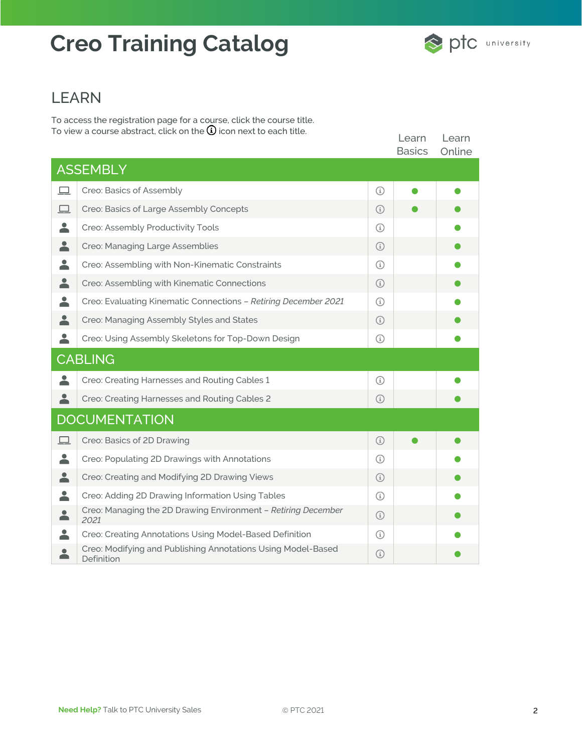#### LEARN

To access the registration page for a course, click the course title. To view a course abstract, click on the  $\mathbf U$  icon next to each title.

|                      |                                                                            |            | Learn<br><b>Basics</b> | Learn<br>Online |  |
|----------------------|----------------------------------------------------------------------------|------------|------------------------|-----------------|--|
|                      | <b>ASSEMBLY</b>                                                            |            |                        |                 |  |
| 므                    | Creo: Basics of Assembly                                                   | $\odot$    |                        |                 |  |
| $\Box$               | Creo: Basics of Large Assembly Concepts                                    | (i)        |                        |                 |  |
| 2                    | Creo: Assembly Productivity Tools                                          | (i)        |                        |                 |  |
| 2                    | Creo: Managing Large Assemblies                                            | (i)        |                        |                 |  |
| 2                    | Creo: Assembling with Non-Kinematic Constraints                            | ⊕          |                        |                 |  |
| 2                    | Creo: Assembling with Kinematic Connections                                | $\odot$    |                        |                 |  |
| 2                    | Creo: Evaluating Kinematic Connections - Retiring December 2021            | G)         |                        |                 |  |
| 2                    | Creo: Managing Assembly Styles and States                                  | G)         |                        |                 |  |
|                      | Creo: Using Assembly Skeletons for Top-Down Design                         | ⊕          |                        |                 |  |
|                      | <b>CABLING</b>                                                             |            |                        |                 |  |
| 2                    | Creo: Creating Harnesses and Routing Cables 1                              | ⊕          |                        |                 |  |
|                      | Creo: Creating Harnesses and Routing Cables 2                              | $\odot$    |                        |                 |  |
| <b>DOCUMENTATION</b> |                                                                            |            |                        |                 |  |
| ப                    | Creo: Basics of 2D Drawing                                                 | ⊕          |                        |                 |  |
| 2                    | Creo: Populating 2D Drawings with Annotations                              | G)         |                        |                 |  |
|                      | Creo: Creating and Modifying 2D Drawing Views                              | ⊕          |                        |                 |  |
| $\blacktriangle$     | Creo: Adding 2D Drawing Information Using Tables                           | G)         |                        |                 |  |
| $\blacktriangle$     | Creo: Managing the 2D Drawing Environment - Retiring December<br>2021      | $\bigcirc$ |                        |                 |  |
| 2                    | Creo: Creating Annotations Using Model-Based Definition                    | ⊕          |                        |                 |  |
| $\bullet$<br>Ă       | Creo: Modifying and Publishing Annotations Using Model-Based<br>Definition | $\odot$    |                        |                 |  |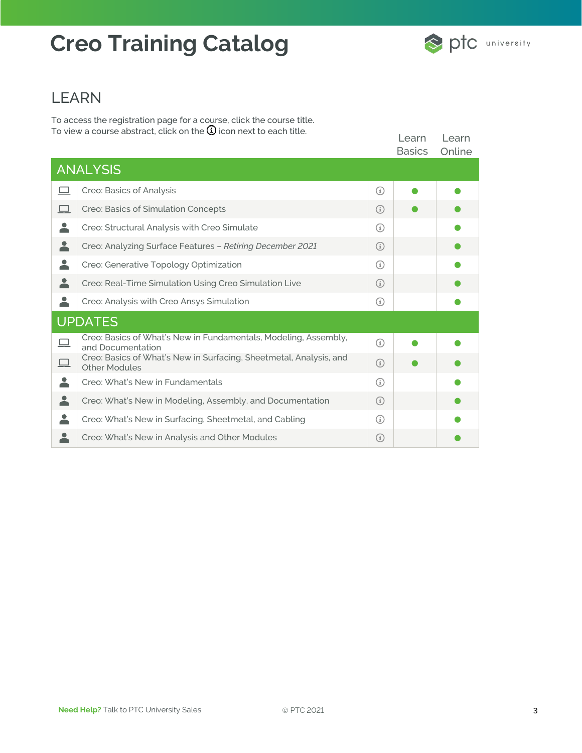#### LEARN

To access the registration page for a course, click the course title. To view a course abstract, click on the  $\mathbf U$  icon next to each title.

|                  |                                                                                            |         | Learn<br><b>Basics</b> | Learn<br>Online |  |
|------------------|--------------------------------------------------------------------------------------------|---------|------------------------|-----------------|--|
|                  | <b>ANALYSIS</b>                                                                            |         |                        |                 |  |
| ロ                | Creo: Basics of Analysis                                                                   | G)      |                        |                 |  |
| 므                | Creo: Basics of Simulation Concepts                                                        | (i)     |                        |                 |  |
| 2                | Creo: Structural Analysis with Creo Simulate                                               | ⊕       |                        |                 |  |
| $\blacktriangle$ | Creo: Analyzing Surface Features - Retiring December 2021                                  | ⊕       |                        |                 |  |
| 2                | Creo: Generative Topology Optimization                                                     | ⊕       |                        |                 |  |
| $\blacktriangle$ | Creo: Real-Time Simulation Using Creo Simulation Live                                      | G)      |                        |                 |  |
| 2                | Creo: Analysis with Creo Ansys Simulation                                                  | ⊕       |                        |                 |  |
| <b>UPDATES</b>   |                                                                                            |         |                        |                 |  |
| 므                | Creo: Basics of What's New in Fundamentals, Modeling, Assembly,<br>and Documentation       | $\odot$ |                        |                 |  |
| 므                | Creo: Basics of What's New in Surfacing, Sheetmetal, Analysis, and<br><b>Other Modules</b> | $\odot$ |                        |                 |  |
| 2                | Creo: What's New in Fundamentals                                                           | G       |                        |                 |  |
| $\blacktriangle$ | Creo: What's New in Modeling, Assembly, and Documentation                                  | ⊕       |                        |                 |  |
|                  | Creo: What's New in Surfacing, Sheetmetal, and Cabling                                     | G)      |                        |                 |  |
|                  | Creo: What's New in Analysis and Other Modules                                             | ⊕       |                        |                 |  |